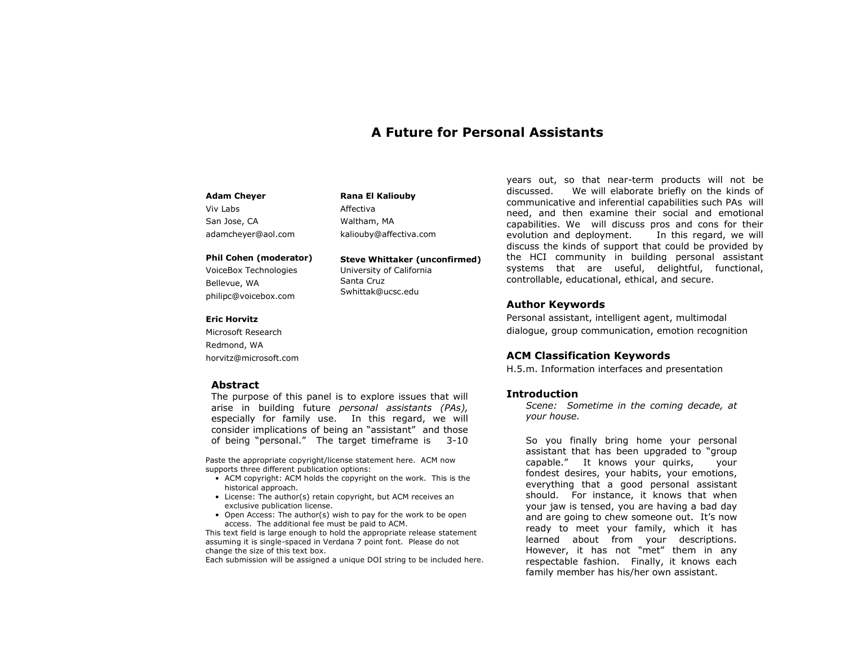# **A Future for Personal Assistants**

#### **Adam Cheyer**

Viv Labs San Jose, CA adamcheyer@aol.com

#### **Phil Cohen (moderator)**

VoiceBox Technologies Bellevue, WA philipc@voicebox.com

#### **Eric Horvitz**

Microsoft Research Redmond, WA horvitz@microsoft.com

#### **Abstract**

The purpose of this panel is to explore issues that will arise in building future *personal assistants (PAs),*  especially for family use. In this regard, we will consider implications of being an "assistant" and those of being "personal." The target timeframe is 3-10

**Rana El Kaliouby**

kaliouby@affectiva.com

University of California

**Steve Whittaker (unconfirmed)**

Affectiva Waltham, MA

Santa Cruz Swhittak@ucsc.edu

Paste the appropriate copyright/license statement here. ACM now supports three different publication options:

- ACM copyright: ACM holds the copyright on the work. This is the historical approach.
- License: The author(s) retain copyright, but ACM receives an exclusive publication license.
- Open Access: The author(s) wish to pay for the work to be open access. The additional fee must be paid to ACM.

This text field is large enough to hold the appropriate release statement assuming it is single-spaced in Verdana 7 point font. Please do not change the size of this text box.

Each submission will be assigned a unique DOI string to be included here.

years out, so that near-term products will not be discussed. We will elaborate briefly on the kinds of communicative and inferential capabilities such PAs will need, and then examine their social and emotional capabilities. We will discuss pros and cons for their evolution and deployment. In this regard, we will discuss the kinds of support that could be provided by the HCI community in building personal assistant systems that are useful, delightful, functional, controllable, educational, ethical, and secure.

# **Author Keywords**

Personal assistant, intelligent agent, multimodal dialogue, group communication, emotion recognition

### **ACM Classification Keywords**

H.5.m. Information interfaces and presentation

#### **Introduction**

*Scene: Sometime in the coming decade, at your house.*

So you finally bring home your personal assistant that has been upgraded to "group capable." It knows your quirks, your fondest desires, your habits, your emotions, everything that a good personal assistant should. For instance, it knows that when your jaw is tensed, you are having a bad day and are going to chew someone out. It's now ready to meet your family, which it has learned about from your descriptions. However, it has not "met" them in any respectable fashion. Finally, it knows each family member has his/her own assistant.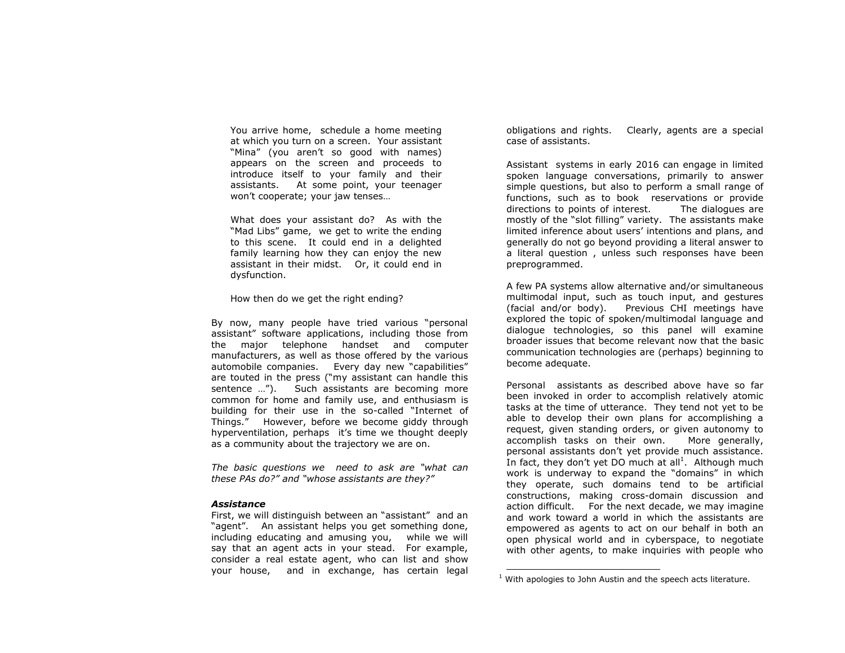You arrive home, schedule a home meeting at which you turn on a screen. Your assistant "Mina" (you aren't so good with names) appears on the screen and proceeds to introduce itself to your family and their assistants. At some point, your teenager won't cooperate; your jaw tenses…

What does your assistant do? As with the "Mad Libs" game, we get to write the ending to this scene. It could end in a delighted family learning how they can enjoy the new assistant in their midst. Or, it could end in dysfunction.

How then do we get the right ending?

By now, many people have tried various "personal assistant" software applications, including those from the major telephone handset and computer manufacturers, as well as those offered by the various automobile companies. Every day new "capabilities" are touted in the press ("my assistant can handle this sentence …"). Such assistants are becoming more common for home and family use, and enthusiasm is building for their use in the so-called "Internet of Things." However, before we become giddy through hyperventilation, perhaps it's time we thought deeply as a community about the trajectory we are on.

*The basic questions we need to ask are "what can these PAs do?" and "whose assistants are they?"* 

#### *Assistance*

First, we will distinguish between an "assistant" and an "agent". An assistant helps you get something done, including educating and amusing you, while we will say that an agent acts in your stead. For example, consider a real estate agent, who can list and show your house, and in exchange, has certain legal

obligations and rights. Clearly, agents are a special case of assistants.

Assistant systems in early 2016 can engage in limited spoken language conversations, primarily to answer simple questions, but also to perform a small range of functions, such as to book reservations or provide directions to points of interest. The dialogues are mostly of the "slot filling" variety. The assistants make limited inference about users' intentions and plans, and generally do not go beyond providing a literal answer to a literal question , unless such responses have been preprogrammed.

A few PA systems allow alternative and/or simultaneous multimodal input, such as touch input, and gestures (facial and/or body). Previous CHI meetings have explored the topic of spoken/multimodal language and dialogue technologies, so this panel will examine broader issues that become relevant now that the basic communication technologies are (perhaps) beginning to become adequate.

Personal assistants as described above have so far been invoked in order to accomplish relatively atomic tasks at the time of utterance. They tend not yet to be able to develop their own plans for accomplishing a request, given standing orders, or given autonomy to accomplish tasks on their own. More generally, personal assistants don't yet provide much assistance. In fact, they don't yet DO much at all<sup>1</sup>. Although much work is underway to expand the "domains" in which they operate, such domains tend to be artificial constructions, making cross-domain discussion and action difficult. For the next decade, we may imagine and work toward a world in which the assistants are empowered as agents to act on our behalf in both an open physical world and in cyberspace, to negotiate with other agents, to make inquiries with people who

1

 $1$  With apologies to John Austin and the speech acts literature.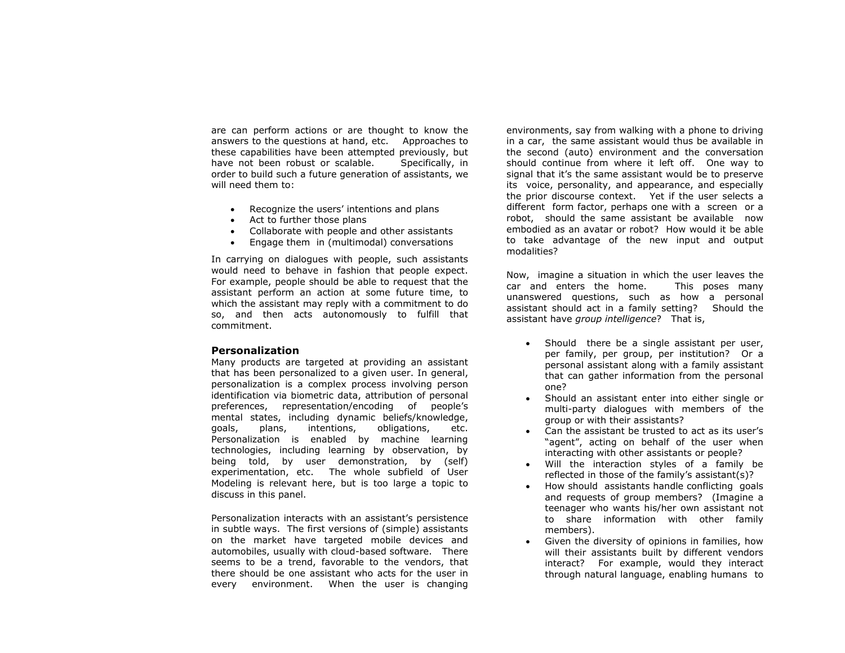are can perform actions or are thought to know the answers to the questions at hand, etc. Approaches to these capabilities have been attempted previously, but have not been robust or scalable. Specifically, in order to build such a future generation of assistants, we will need them to:

- Recognize the users' intentions and plans
- Act to further those plans
- Collaborate with people and other assistants
- Engage them in (multimodal) conversations

In carrying on dialogues with people, such assistants would need to behave in fashion that people expect. For example, people should be able to request that the assistant perform an action at some future time, to which the assistant may reply with a commitment to do so, and then acts autonomously to fulfill that commitment.

# **Personalization**

Many products are targeted at providing an assistant that has been personalized to a given user. In general, personalization is a complex process involving person identification via biometric data, attribution of personal preferences, representation/encoding of people's mental states, including dynamic beliefs/knowledge, goals, plans, intentions, obligations, etc. Personalization is enabled by machine learning technologies, including learning by observation, by being told, by user demonstration, by (self) experimentation, etc. The whole subfield of User Modeling is relevant here, but is too large a topic to discuss in this panel.

Personalization interacts with an assistant's persistence in subtle ways. The first versions of (simple) assistants on the market have targeted mobile devices and automobiles, usually with cloud-based software. There seems to be a trend, favorable to the vendors, that there should be one assistant who acts for the user in every environment. When the user is changing

environments, say from walking with a phone to driving in a car, the same assistant would thus be available in the second (auto) environment and the conversation should continue from where it left off. One way to signal that it's the same assistant would be to preserve its voice, personality, and appearance, and especially the prior discourse context. Yet if the user selects a different form factor, perhaps one with a screen or a robot, should the same assistant be available now embodied as an avatar or robot? How would it be able to take advantage of the new input and output modalities?

Now, imagine a situation in which the user leaves the car and enters the home. This poses many unanswered questions, such as how a personal assistant should act in a family setting? Should the assistant have *group intelligence*? That is,

- Should there be a single assistant per user, per family, per group, per institution? Or a personal assistant along with a family assistant that can gather information from the personal one?
- Should an assistant enter into either single or multi-party dialogues with members of the group or with their assistants?
- Can the assistant be trusted to act as its user's "agent", acting on behalf of the user when interacting with other assistants or people?
- Will the interaction styles of a family be reflected in those of the family's assistant(s)?
- How should assistants handle conflicting goals and requests of group members? (Imagine a teenager who wants his/her own assistant not to share information with other family members).
- Given the diversity of opinions in families, how will their assistants built by different vendors interact? For example, would they interact through natural language, enabling humans to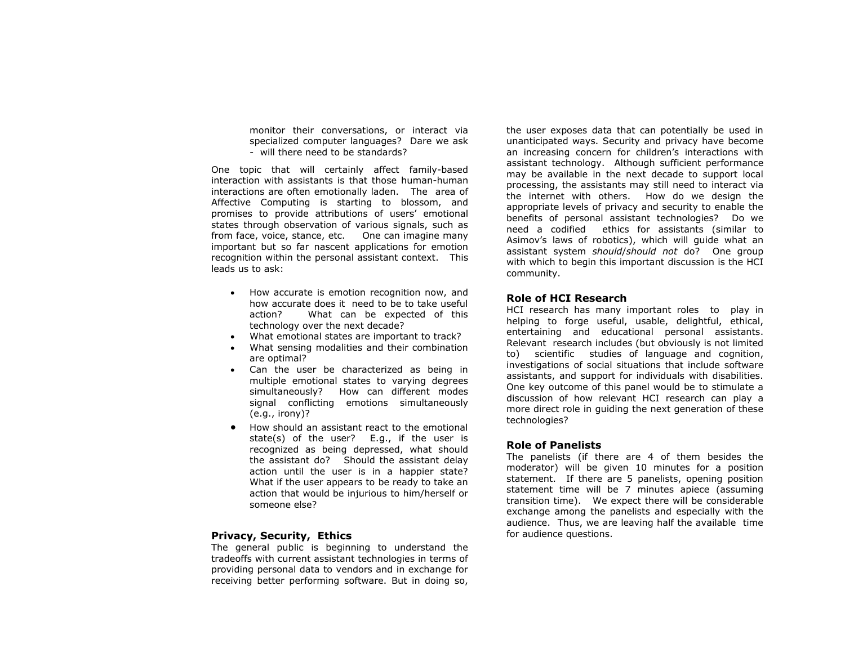monitor their conversations, or interact via specialized computer languages? Dare we ask - will there need to be standards?

One topic that will certainly affect family-based interaction with assistants is that those human-human interactions are often emotionally laden. The area of Affective Computing is starting to blossom, and promises to provide attributions of users' emotional states through observation of various signals, such as from face, voice, stance, etc. One can imagine many important but so far nascent applications for emotion recognition within the personal assistant context. This leads us to ask:

- How accurate is emotion recognition now, and how accurate does it need to be to take useful action? What can be expected of this technology over the next decade?
- What emotional states are important to track?
- What sensing modalities and their combination are optimal?
- Can the user be characterized as being in multiple emotional states to varying degrees simultaneously? How can different modes signal conflicting emotions simultaneously (e.g., irony)?
- How should an assistant react to the emotional state(s) of the user? E.g., if the user is recognized as being depressed, what should the assistant do? Should the assistant delay action until the user is in a happier state? What if the user appears to be ready to take an action that would be injurious to him/herself or someone else?

# **Privacy, Security, Ethics**

The general public is beginning to understand the tradeoffs with current assistant technologies in terms of providing personal data to vendors and in exchange for receiving better performing software. But in doing so,

the user exposes data that can potentially be used in unanticipated ways. Security and privacy have become an increasing concern for children's interactions with assistant technology. Although sufficient performance may be available in the next decade to support local processing, the assistants may still need to interact via the internet with others. How do we design the appropriate levels of privacy and security to enable the benefits of personal assistant technologies? Do we need a codified ethics for assistants (similar to Asimov's laws of robotics), which will guide what an assistant system *should*/*should not* do? One group with which to begin this important discussion is the HCI community.

# **Role of HCI Research**

HCI research has many important roles to play in helping to forge useful, usable, delightful, ethical, entertaining and educational personal assistants. Relevant research includes (but obviously is not limited to) scientific studies of language and cognition, investigations of social situations that include software assistants, and support for individuals with disabilities. One key outcome of this panel would be to stimulate a discussion of how relevant HCI research can play a more direct role in guiding the next generation of these technologies?

#### **Role of Panelists**

The panelists (if there are 4 of them besides the moderator) will be given 10 minutes for a position statement. If there are 5 panelists, opening position statement time will be 7 minutes apiece (assuming transition time). We expect there will be considerable exchange among the panelists and especially with the audience. Thus, we are leaving half the available time for audience questions.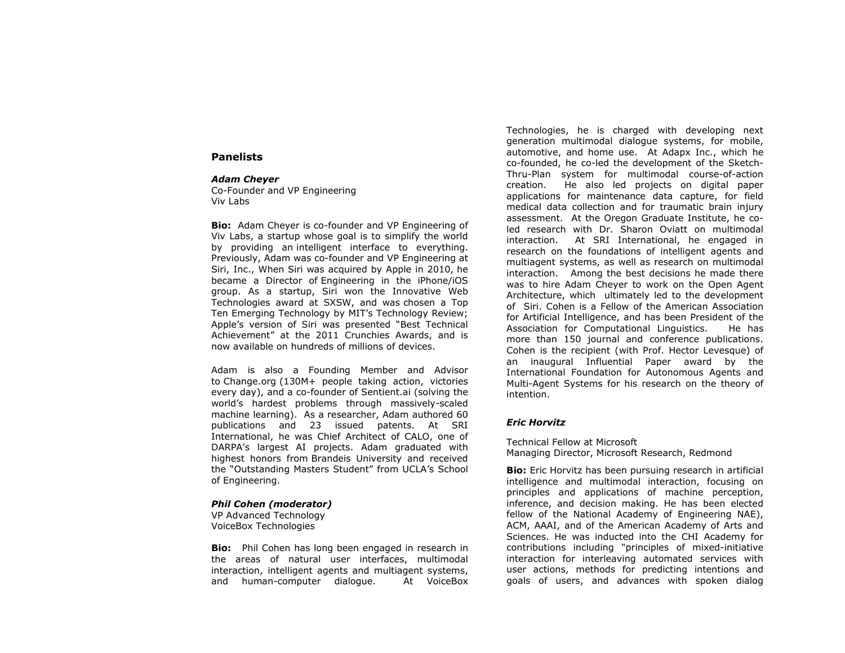#### **Panelists**

#### *Adam Cheyer*

Co-Founder and VP Engineering Viv Labs

**Bio:** Adam Cheyer is co-founder and VP Engineering of Viv Labs, a startup whose goal is to simplify the world by providing an intelligent interface to everything. Previously, Adam was co-founder and VP Engineering at Siri, Inc., When Siri was acquired by Apple in 2010, he became a Director of Engineering in the iPhone/iOS group. As a startup, Siri won the Innovative Web Technologies award at SXSW, and was chosen a Top Ten Emerging Technology by MIT's Technology Review; Apple's version of Siri was presented "Best Technical Achievement" at the 2011 Crunchies Awards, and is now available on hundreds of millions of devices.

Adam is also a Founding Member and Advisor to [Change.org](http://change.org/) (130M+ people taking action, victories every day), and a co-founder of Sentient.ai (solving the world's hardest problems through massively-scaled machine learning). As a researcher, Adam authored 60 publications and 23 issued patents. At SRI International, he was Chief Architect of CALO, one of DARPA's largest AI projects. Adam graduated with highest honors from Brandeis University and received the "Outstanding Masters Student" from UCLA's School of Engineering.

#### *Phil Cohen (moderator)*

VP Advanced Technology VoiceBox Technologies

**Bio:** Phil Cohen has long been engaged in research in the areas of natural user interfaces, multimodal interaction, intelligent agents and multiagent systems, and human-computer dialogue. At VoiceBox Technologies, he is charged with developing next generation multimodal dialogue systems, for mobile, automotive, and home use. At Adapx Inc., which he co-founded, he co-led the development of the Sketch-Thru-Plan system for multimodal course-of-action creation. He also led projects on digital paper applications for maintenance data capture, for field medical data collection and for traumatic brain injury assessment. At the Oregon Graduate Institute, he coled research with Dr. Sharon Oviatt on multimodal interaction. At SRI International, he engaged in research on the foundations of intelligent agents and multiagent systems, as well as research on multimodal interaction. Among the best decisions he made there was to hire Adam Cheyer to work on the Open Agent Architecture, which ultimately led to the development of Siri. Cohen is a Fellow of the American Association for Artificial Intelligence, and has been President of the Association for Computational Linguistics. He has more than 150 journal and conference publications. Cohen is the recipient (with Prof. Hector Levesque) of an inaugural Influential Paper award by the International Foundation for Autonomous Agents and Multi-Agent Systems for his research on the theory of intention.

# *Eric Horvitz*

Technical Fellow at Microsoft Managing Director, Microsoft Research, Redmond

**Bio:** Eric Horvitz has been pursuing research in artificial intelligence and multimodal interaction, focusing on principles and applications of machine perception, inference, and decision making. He has been elected fellow of the National Academy of Engineering NAE), ACM, AAAI, and of the American Academy of Arts and Sciences. He was inducted into the CHI Academy for contributions including "principles of mixed-initiative interaction for interleaving automated services with user actions, methods for predicting intentions and goals of users, and advances with spoken dialog